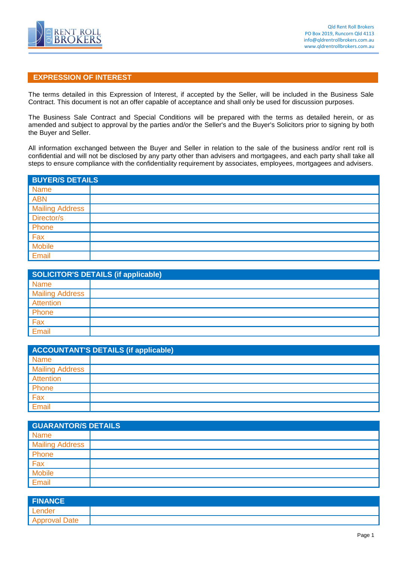

## **EXPRESSION OF INTEREST**

The terms detailed in this Expression of Interest, if accepted by the Seller, will be included in the Business Sale Contract. This document is not an offer capable of acceptance and shall only be used for discussion purposes.

The Business Sale Contract and Special Conditions will be prepared with the terms as detailed herein, or as amended and subject to approval by the parties and/or the Seller's and the Buyer's Solicitors prior to signing by both the Buyer and Seller.

All information exchanged between the Buyer and Seller in relation to the sale of the business and/or rent roll is confidential and will not be disclosed by any party other than advisers and mortgagees, and each party shall take all steps to ensure compliance with the confidentiality requirement by associates, employees, mortgagees and advisers.

| <b>BUYER/S DETAILS</b> |  |  |
|------------------------|--|--|
| <b>Name</b>            |  |  |
| <b>ABN</b>             |  |  |
| <b>Mailing Address</b> |  |  |
| Director/s             |  |  |
| Phone                  |  |  |
| Fax                    |  |  |
| Mobile                 |  |  |
| Email                  |  |  |

| <b>SOLICITOR'S DETAILS (if applicable)</b> |  |  |
|--------------------------------------------|--|--|
| <b>Name</b>                                |  |  |
| <b>Mailing Address</b>                     |  |  |
| Attention                                  |  |  |
| Phone                                      |  |  |
| Fax                                        |  |  |
| Email                                      |  |  |

| <b>ACCOUNTANT'S DETAILS (if applicable)</b> |  |  |
|---------------------------------------------|--|--|
| <b>Name</b>                                 |  |  |
| <b>Mailing Address</b>                      |  |  |
| Attention                                   |  |  |
| Phone                                       |  |  |
| Fax                                         |  |  |
| Email                                       |  |  |

| <b>GUARANTOR/S DETAILS</b> |  |
|----------------------------|--|
| <b>Name</b>                |  |
| <b>Mailing Address</b>     |  |
| Phone                      |  |
| Fax                        |  |
| <b>Mobile</b>              |  |
| Email                      |  |

| <b>FINANCE</b> |  |
|----------------|--|
| Lender         |  |
| Approval Date  |  |